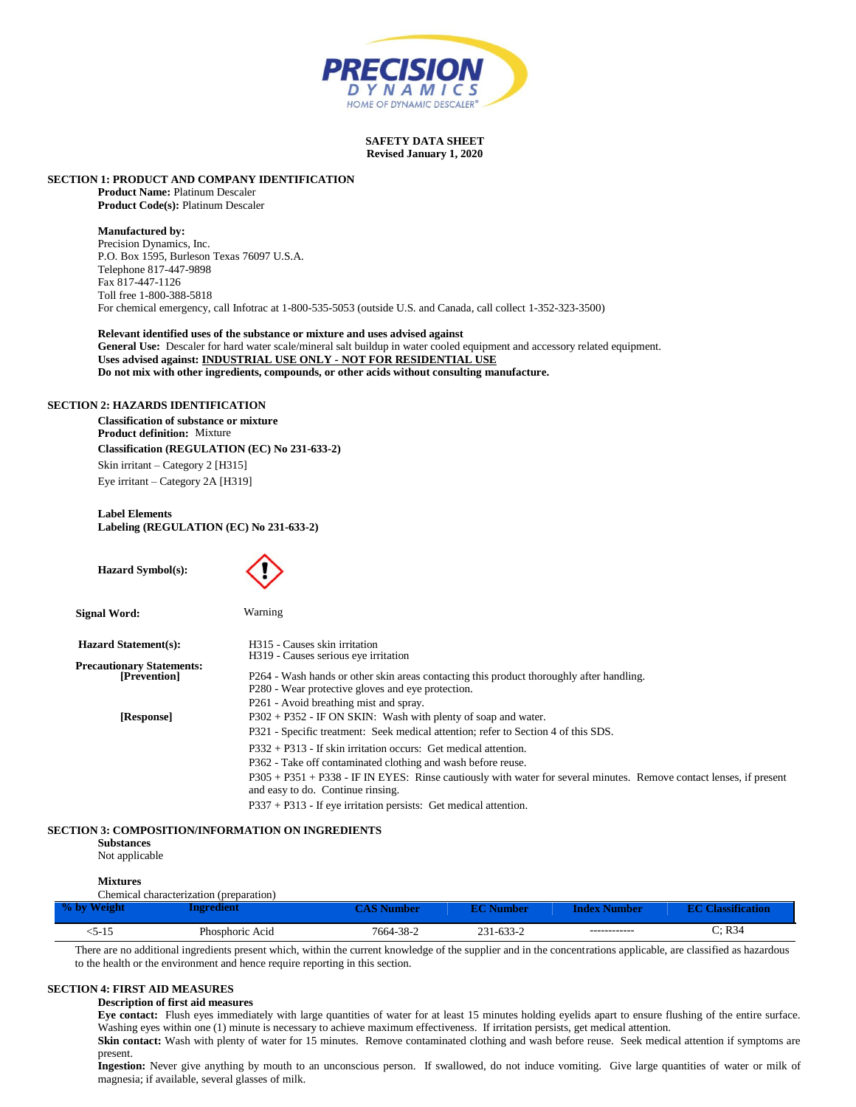

#### **SAFETY DATA SHEET Revised January 1, 2020**

**SECTION 1: PRODUCT AND COMPANY IDENTIFICATION**

**Product Name:** Platinum Descaler **Product Code(s):** Platinum Descaler

#### **Manufactured by:**

Precision Dynamics, Inc. P.O. Box 1595, Burleson Texas 76097 U.S.A. Telephone 817-447-9898 Fax 817-447-1126 Toll free 1-800-388-5818 For chemical emergency, call Infotrac at 1-800-535-5053 (outside U.S. and Canada, call collect 1-352-323-3500)

**Relevant identified uses of the substance or mixture and uses advised against General Use:** Descaler for hard water scale/mineral salt buildup in water cooled equipment and accessory related equipment. **Uses advised against: INDUSTRIAL USE ONLY - NOT FOR RESIDENTIAL USE Do not mix with other ingredients, compounds, or other acids without consulting manufacture.**

#### **SECTION 2: HAZARDS IDENTIFICATION**

**Classification of substance or mixture Product definition:** Mixture **Classification (REGULATION (EC) No 231-633-2)** Skin irritant – Category 2 [H315] Eye irritant – Category 2A [H319]

**Label Elements Labeling (REGULATION (EC) No 231-633-2)**

 **Hazard Symbol(s): Signal Word:** Warning Hazard Statement(s): **H315** - Causes skin irritation H319 - Causes serious eye irritation **Precautionary Statements:** P264 - Wash hands or other skin areas contacting this product thoroughly after handling. P280 - Wear protective gloves and eye protection. P261 - Avoid breathing mist and spray.  **[Response]** P302 + P352 - IF ON SKIN: Wash with plenty of soap and water. P321 - Specific treatment: Seek medical attention; refer to Section 4 of this SDS. P332 + P313 - If skin irritation occurs: Get medical attention. P362 - Take off contaminated clothing and wash before reuse. P305 + P351 + P338 - IF IN EYES: Rinse cautiously with water for several minutes. Remove contact lenses, if present and easy to do. Continue rinsing.

P337 + P313 - If eye irritation persists: Get medical attention.

# **SECTION 3: COMPOSITION/INFORMATION ON INGREDIENTS**

**Substances**

Not applicable

# **Mixtures**

|             | Chemical characterization (preparation) |           |           |              |                      |
|-------------|-----------------------------------------|-----------|-----------|--------------|----------------------|
| % by Weight | ngredient                               |           | EC Number | Index Number | <b>lassification</b> |
| D-15        | Phosphoric Acid                         | 7664-38-2 | 231-633-2 | ------------ | C: R34               |

There are no additional ingredients present which, within the current knowledge of the supplier and in the concentrations applicable, are classified as hazardous to the health or the environment and hence require reporting in this section.

# **SECTION 4: FIRST AID MEASURES**

#### **Description of first aid measures**

**Eye contact:** Flush eyes immediately with large quantities of water for at least 15 minutes holding eyelids apart to ensure flushing of the entire surface. Washing eyes within one (1) minute is necessary to achieve maximum effectiveness. If irritation persists, get medical attention.

Skin contact: Wash with plenty of water for 15 minutes. Remove contaminated clothing and wash before reuse. Seek medical attention if symptoms are present.

Ingestion: Never give anything by mouth to an unconscious person. If swallowed, do not induce vomiting. Give large quantities of water or milk of magnesia; if available, several glasses of milk.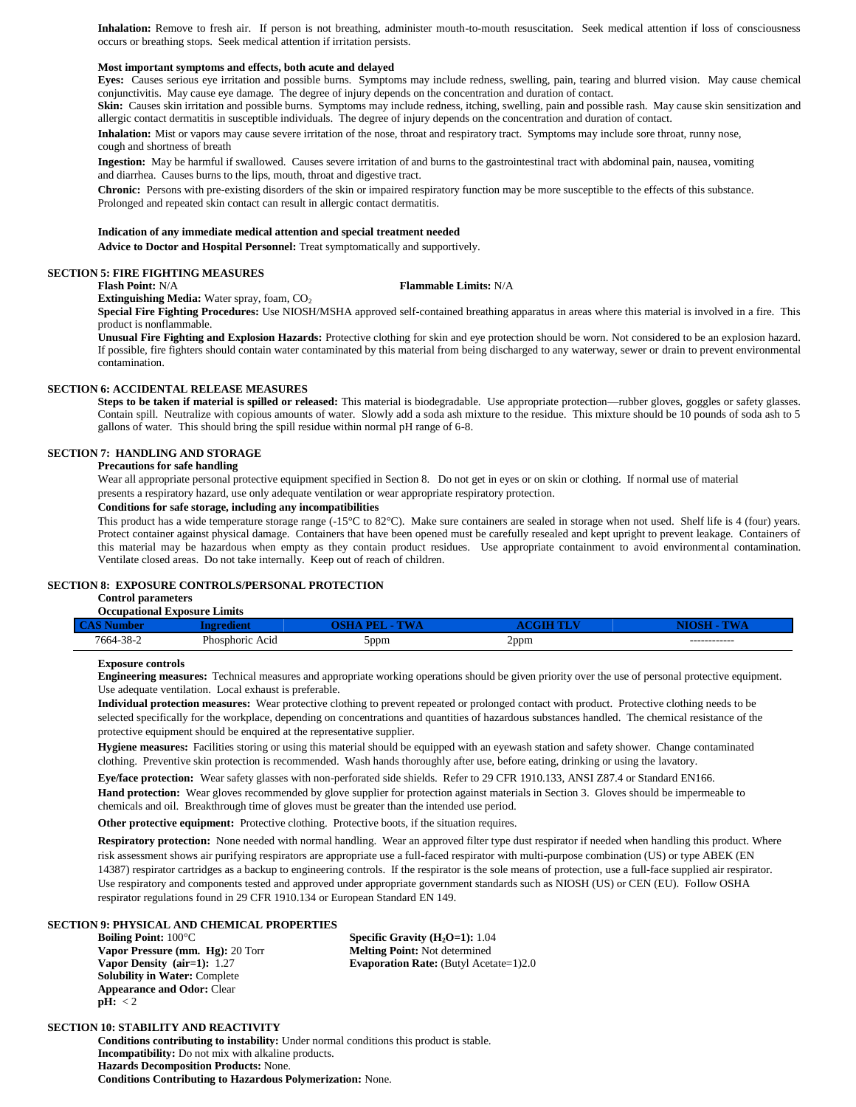**Inhalation:** Remove to fresh air. If person is not breathing, administer mouth-to-mouth resuscitation. Seek medical attention if loss of consciousness occurs or breathing stops. Seek medical attention if irritation persists.

# **Most important symptoms and effects, both acute and delayed**

**Eyes:** Causes serious eye irritation and possible burns. Symptoms may include redness, swelling, pain, tearing and blurred vision. May cause chemical conjunctivitis. May cause eye damage. The degree of injury depends on the concentration and duration of contact.

**Skin:** Causes skin irritation and possible burns. Symptoms may include redness, itching, swelling, pain and possible rash. May cause skin sensitization and allergic contact dermatitis in susceptible individuals. The degree of injury depends on the concentration and duration of contact.

Inhalation: Mist or vapors may cause severe irritation of the nose, throat and respiratory tract. Symptoms may include sore throat, runny nose, cough and shortness of breath

**Ingestion:** May be harmful if swallowed. Causes severe irritation of and burns to the gastrointestinal tract with abdominal pain, nausea, vomiting and diarrhea. Causes burns to the lips, mouth, throat and digestive tract.

**Chronic:** Persons with pre-existing disorders of the skin or impaired respiratory function may be more susceptible to the effects of this substance. Prolonged and repeated skin contact can result in allergic contact dermatitis.

# **Indication of any immediate medical attention and special treatment needed**

**Advice to Doctor and Hospital Personnel:** Treat symptomatically and supportively.

#### **SECTION 5: FIRE FIGHTING MEASURES**

# **Flash Point:** N/A **Flammable Limits:** N/A

**Extinguishing Media:** Water spray, foam, CO<sub>2</sub>

**Special Fire Fighting Procedures:** Use NIOSH/MSHA approved self-contained breathing apparatus in areas where this material is involved in a fire. This product is nonflammable.

**Unusual Fire Fighting and Explosion Hazards:** Protective clothing for skin and eye protection should be worn. Not considered to be an explosion hazard. If possible, fire fighters should contain water contaminated by this material from being discharged to any waterway, sewer or drain to prevent environmental contamination.

#### **SECTION 6: ACCIDENTAL RELEASE MEASURES**

**Steps to be taken if material is spilled or released:** This material is biodegradable. Use appropriate protection—rubber gloves, goggles or safety glasses. Contain spill. Neutralize with copious amounts of water. Slowly add a soda ash mixture to the residue. This mixture should be 10 pounds of soda ash to 5 gallons of water. This should bring the spill residue within normal pH range of 6-8.

# **SECTION 7: HANDLING AND STORAGE**

#### **Precautions for safe handling**

Wear all appropriate personal protective equipment specified in Section 8. Do not get in eyes or on skin or clothing. If normal use of material presents a respiratory hazard, use only adequate ventilation or wear appropriate respiratory protection.

# **Conditions for safe storage, including any incompatibilities**

This product has a wide temperature storage range (-15°C to 82°C). Make sure containers are sealed in storage when not used. Shelf life is 4 (four) years. Protect container against physical damage. Containers that have been opened must be carefully resealed and kept upright to prevent leakage. Containers of this material may be hazardous when empty as they contain product residues. Use appropriate containment to avoid environmental contamination. Ventilate closed areas. Do not take internally. Keep out of reach of children.

#### **SECTION 8: EXPOSURE CONTROLS/PERSONAL PROTECTION**

# **Control parameters**

| Limits<br>Occupational Exposure . |                     |            |      |              |  |  |  |
|-----------------------------------|---------------------|------------|------|--------------|--|--|--|
|                                   |                     |            |      |              |  |  |  |
| $7664 - 38 - 2$                   | Phosphoric.<br>Acıd | ppm-<br>xx | 2ppm | ------------ |  |  |  |

#### **Exposure controls**

**Engineering measures:** Technical measures and appropriate working operations should be given priority over the use of personal protective equipment. Use adequate ventilation. Local exhaust is preferable.

**Individual protection measures:** Wear protective clothing to prevent repeated or prolonged contact with product. Protective clothing needs to be selected specifically for the workplace, depending on concentrations and quantities of hazardous substances handled. The chemical resistance of the protective equipment should be enquired at the representative supplier.

**Hygiene measures:** Facilities storing or using this material should be equipped with an eyewash station and safety shower. Change contaminated clothing. Preventive skin protection is recommended. Wash hands thoroughly after use, before eating, drinking or using the lavatory.

**Eye/face protection:** Wear safety glasses with non-perforated side shields. Refer to 29 CFR 1910.133, ANSI Z87.4 or Standard EN166. **Hand protection:** Wear gloves recommended by glove supplier for protection against materials in Section 3. Gloves should be impermeable to chemicals and oil. Breakthrough time of gloves must be greater than the intended use period.

Other protective equipment: Protective clothing. Protective boots, if the situation requires.

**Respiratory protection:** None needed with normal handling. Wear an approved filter type dust respirator if needed when handling this product. Where risk assessment shows air purifying respirators are appropriate use a full-faced respirator with multi-purpose combination (US) or type ABEK (EN 14387) respirator cartridges as a backup to engineering controls. If the respirator is the sole means of protection, use a full-face supplied air respirator. Use respiratory and components tested and approved under appropriate government standards such as NIOSH (US) or CEN (EU). Follow OSHA respirator regulations found in 29 CFR 1910.134 or European Standard EN 149.

# **SECTION 9: PHYSICAL AND CHEMICAL PROPERTIES**

**Vapor Pressure (mm. Hg):** 20 Torr **Melting Point:** Not determined **Solubility in Water:** Complete **Appearance and Odor:** Clear  $\overline{\textbf{pH}}$ : <2

**Specific Gravity (H<sub>2</sub>O=1):** 1.04 **Vapor Density (air=1):** 1.27 **Evaporation Rate:** (Butyl Acetate=1)2.0

# **SECTION 10: STABILITY AND REACTIVITY**

**Conditions contributing to instability:** Under normal conditions this product is stable. **Incompatibility:** Do not mix with alkaline products. **Hazards Decomposition Products:** None. **Conditions Contributing to Hazardous Polymerization:** None.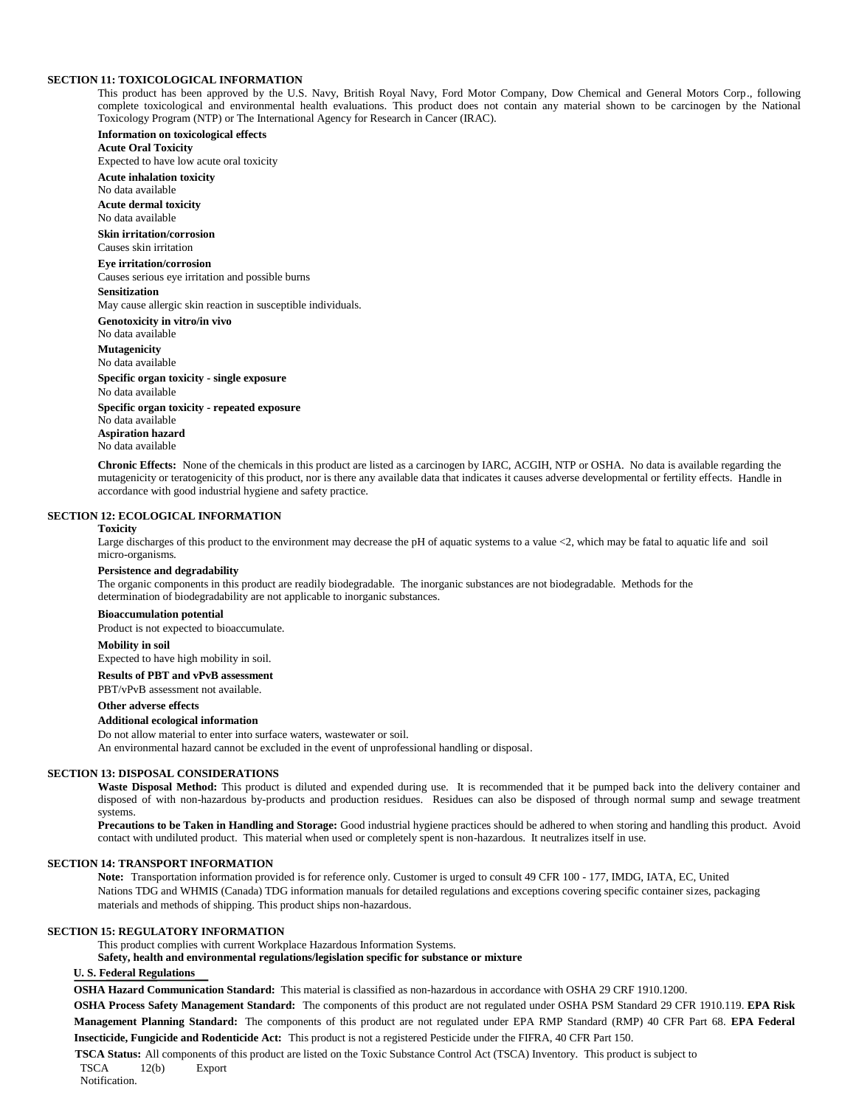### **SECTION 11: TOXICOLOGICAL INFORMATION**

This product has been approved by the U.S. Navy, British Royal Navy, Ford Motor Company, Dow Chemical and General Motors Corp., following complete toxicological and environmental health evaluations. This product does not contain any material shown to be carcinogen by the National Toxicology Program (NTP) or The International Agency for Research in Cancer (IRAC).

**Information on toxicological effects Acute Oral Toxicity**

Expected to have low acute oral toxicity

**Acute inhalation toxicity** No data available **Acute dermal toxicity** No data available **Skin irritation/corrosion** Causes skin irritation **Eye irritation/corrosion** Causes serious eye irritation and possible burns **Sensitization** May cause allergic skin reaction in susceptible individuals. **Genotoxicity in vitro/in vivo** No data available **Mutagenicity** No data available **Specific organ toxicity - single exposure** No data available **Specific organ toxicity - repeated exposure** No data available

**Aspiration hazard** No data available

**Chronic Effects:** None of the chemicals in this product are listed as a carcinogen by IARC, ACGIH, NTP or OSHA. No data is available regarding the mutagenicity or teratogenicity of this product, nor is there any available data that indicates it causes adverse developmental or fertility effects. Handle in accordance with good industrial hygiene and safety practice.

# **SECTION 12: ECOLOGICAL INFORMATION**

# **Toxicity**

Large discharges of this product to the environment may decrease the pH of aquatic systems to a value  $\langle 2$ , which may be fatal to aquatic life and soil micro-organisms.

#### **Persistence and degradability**

The organic components in this product are readily biodegradable. The inorganic substances are not biodegradable. Methods for the determination of biodegradability are not applicable to inorganic substances.

#### **Bioaccumulation potential**

Product is not expected to bioaccumulate.

#### **Mobility in soil**

Expected to have high mobility in soil.

**Results of PBT and vPvB assessment**

# PBT/vPvB assessment not available.

**Other adverse effects**

# **Additional ecological information**

Do not allow material to enter into surface waters, wastewater or soil.

An environmental hazard cannot be excluded in the event of unprofessional handling or disposal.

#### **SECTION 13: DISPOSAL CONSIDERATIONS**

Waste Disposal Method: This product is diluted and expended during use. It is recommended that it be pumped back into the delivery container and disposed of with non-hazardous by-products and production residues. Residues can also be disposed of through normal sump and sewage treatment systems.

**Precautions to be Taken in Handling and Storage:** Good industrial hygiene practices should be adhered to when storing and handling this product. Avoid contact with undiluted product. This material when used or completely spent is non-hazardous. It neutralizes itself in use.

#### **SECTION 14: TRANSPORT INFORMATION**

**Note:** Transportation information provided is for reference only. Customer is urged to consult 49 CFR 100 - 177, IMDG, IATA, EC, United Nations TDG and WHMIS (Canada) TDG information manuals for detailed regulations and exceptions covering specific container sizes, packaging materials and methods of shipping. This product ships non-hazardous.

#### **SECTION 15: REGULATORY INFORMATION**

This product complies with current Workplace Hazardous Information Systems.

**Safety, health and environmental regulations/legislation specific for substance or mixture**

# **U. S. Federal Regulations**

**OSHA Hazard Communication Standard:** This material is classified as non-hazardous in accordance with OSHA 29 CRF 1910.1200.

**OSHA Process Safety Management Standard:** The components of this product are not regulated under OSHA PSM Standard 29 CFR 1910.119. **EPA Risk Management Planning Standard:** The components of this product are not regulated under EPA RMP Standard (RMP) 40 CFR Part 68. **EPA Federal Insecticide, Fungicide and Rodenticide Act:** This product is not a registered Pesticide under the FIFRA, 40 CFR Part 150.

**TSCA Status:** All components of this product are listed on the Toxic Substance Control Act (TSCA) Inventory. This product is subject to TSCA 12(b) Export

Notification.